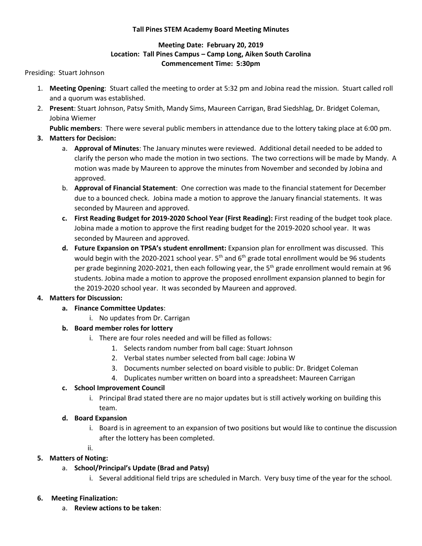#### **Tall Pines STEM Academy Board Meeting Minutes**

### **Meeting Date: February 20, 2019 Location: Tall Pines Campus – Camp Long, Aiken South Carolina Commencement Time: 5:30pm**

#### Presiding: Stuart Johnson

- 1. **Meeting Opening**: Stuart called the meeting to order at 5:32 pm and Jobina read the mission. Stuart called roll and a quorum was established.
- 2. **Present**: Stuart Johnson, Patsy Smith, Mandy Sims, Maureen Carrigan, Brad Siedshlag, Dr. Bridget Coleman, Jobina Wiemer

**Public members**: There were several public members in attendance due to the lottery taking place at 6:00 pm.

- **3. Matters for Decision:**
	- a. **Approval of Minutes**: The January minutes were reviewed. Additional detail needed to be added to clarify the person who made the motion in two sections. The two corrections will be made by Mandy. A motion was made by Maureen to approve the minutes from November and seconded by Jobina and approved.
	- b. **Approval of Financial Statement**: One correction was made to the financial statement for December due to a bounced check. Jobina made a motion to approve the January financial statements. It was seconded by Maureen and approved.
	- **c. First Reading Budget for 2019-2020 School Year (First Reading):** First reading of the budget took place. Jobina made a motion to approve the first reading budget for the 2019-2020 school year. It was seconded by Maureen and approved.
	- **d. Future Expansion on TPSA's student enrollment:** Expansion plan for enrollment was discussed. This would begin with the 2020-2021 school year.  $5<sup>th</sup>$  and  $6<sup>th</sup>$  grade total enrollment would be 96 students per grade beginning 2020-2021, then each following year, the 5<sup>th</sup> grade enrollment would remain at 96 students. Jobina made a motion to approve the proposed enrollment expansion planned to begin for the 2019-2020 school year. It was seconded by Maureen and approved.

### **4. Matters for Discussion:**

- **a. Finance Committee Updates**:
	- i. No updates from Dr. Carrigan

# **b. Board member roles for lottery**

- i. There are four roles needed and will be filled as follows:
	- 1. Selects random number from ball cage: Stuart Johnson
	- 2. Verbal states number selected from ball cage: Jobina W
	- 3. Documents number selected on board visible to public: Dr. Bridget Coleman
	- 4. Duplicates number written on board into a spreadsheet: Maureen Carrigan

### **c. School Improvement Council**

i. Principal Brad stated there are no major updates but is still actively working on building this team.

### **d. Board Expansion**

- i. Board is in agreement to an expansion of two positions but would like to continue the discussion after the lottery has been completed.
- ii.

# **5. Matters of Noting:**

- a. **School/Principal's Update (Brad and Patsy)** 
	- i. Several additional field trips are scheduled in March. Very busy time of the year for the school.

### **6. Meeting Finalization:**

a. **Review actions to be taken**: